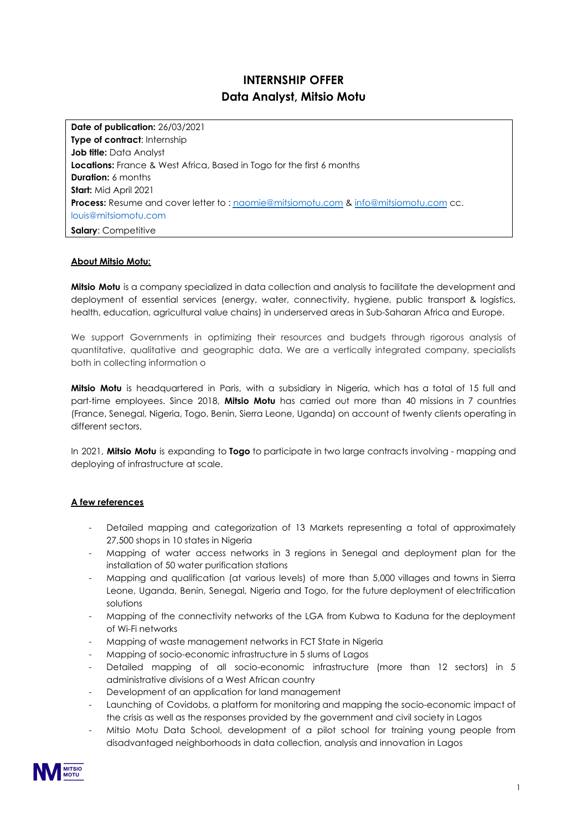# **INTERNSHIP OFFER Data Analyst, Mitsio Motu**

**Date of publication:** 26/03/2021 **Type of contract: Internship Job title:** Data Analyst **Locations:** France & West Africa, Based in Togo for the first 6 months **Duration:** 6 months **Start:** Mid April 2021 **Process:** Resume and cover letter to : [naomie@mitsiomotu.com](mailto:naomie@mitsiomotu.com) & [info@mitsiomotu.com](mailto:info@mitsiomotu.com) cc. louis@mitsiomotu.com **Salary**: Competitive

#### **About Mitsio Motu:**

**Mitsio Motu** is a company specialized in data collection and analysis to facilitate the development and deployment of essential services (energy, water, connectivity, hygiene, public transport & logistics, health, education, agricultural value chains) in underserved areas in Sub-Saharan Africa and Europe.

We support Governments in optimizing their resources and budgets through rigorous analysis of quantitative, qualitative and geographic data. We are a vertically integrated company, specialists both in collecting information o

**Mitsio Motu** is headquartered in Paris, with a subsidiary in Nigeria, which has a total of 15 full and part-time employees. Since 2018, **Mitsio Motu** has carried out more than 40 missions in 7 countries (France, Senegal, Nigeria, Togo, Benin, Sierra Leone, Uganda) on account of twenty clients operating in different sectors.

In 2021, **Mitsio Motu** is expanding to **Togo** to participate in two large contracts involving - mapping and deploying of infrastructure at scale.

#### **A few references**

- Detailed mapping and categorization of 13 Markets representing a total of approximately 27,500 shops in 10 states in Nigeria
- Mapping of water access networks in 3 regions in Senegal and deployment plan for the installation of 50 water purification stations
- Mapping and qualification (at various levels) of more than 5,000 villages and towns in Sierra Leone, Uganda, Benin, Senegal, Nigeria and Togo, for the future deployment of electrification solutions
- Mapping of the connectivity networks of the LGA from Kubwa to Kaduna for the deployment of Wi-Fi networks
- Mapping of waste management networks in FCT State in Nigeria
- Mapping of socio-economic infrastructure in 5 slums of Lagos
- Detailed mapping of all socio-economic infrastructure (more than 12 sectors) in 5 administrative divisions of a West African country
- Development of an application for land management
- Launching of Covidobs, a platform for monitoring and mapping the socio-economic impact of the crisis as well as the responses provided by the government and civil society in Lagos
- Mitsio Motu Data School, development of a pilot school for training young people from disadvantaged neighborhoods in data collection, analysis and innovation in Lagos

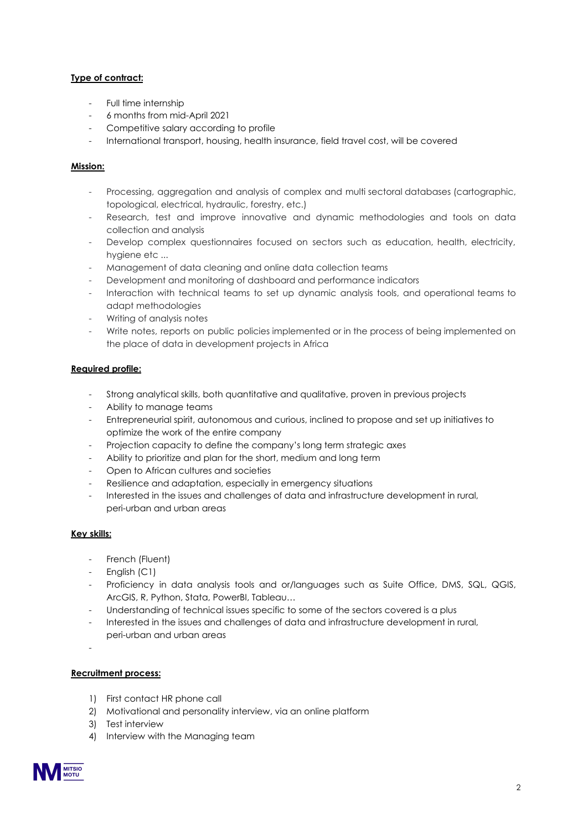## **Type of contract:**

- Full time internship
- 6 months from mid-April 2021
- Competitive salary according to profile
- International transport, housing, health insurance, field travel cost, will be covered

## **Mission:**

- Processing, aggregation and analysis of complex and multi sectoral databases (cartographic, topological, electrical, hydraulic, forestry, etc.)
- Research, test and improve innovative and dynamic methodologies and tools on data collection and analysis
- Develop complex questionnaires focused on sectors such as education, health, electricity, hygiene etc ...
- Management of data cleaning and online data collection teams
- Development and monitoring of dashboard and performance indicators
- Interaction with technical teams to set up dynamic analysis tools, and operational teams to adapt methodologies
- Writing of analysis notes
- Write notes, reports on public policies implemented or in the process of being implemented on the place of data in development projects in Africa

## **Required profile:**

- Strong analytical skills, both quantitative and qualitative, proven in previous projects
- Ability to manage teams
- Entrepreneurial spirit, autonomous and curious, inclined to propose and set up initiatives to optimize the work of the entire company
- Projection capacity to define the company's long term strategic axes
- Ability to prioritize and plan for the short, medium and long term
- Open to African cultures and societies
- Resilience and adaptation, especially in emergency situations
- Interested in the issues and challenges of data and infrastructure development in rural, peri-urban and urban areas

## **Key skills:**

- French (Fluent)
- English (C1)
- Proficiency in data analysis tools and or/languages such as Suite Office, DMS, SQL, QGIS, ArcGIS, R, Python, Stata, PowerBI, Tableau…
- Understanding of technical issues specific to some of the sectors covered is a plus
- Interested in the issues and challenges of data and infrastructure development in rural, peri-urban and urban areas
- -

## **Recruitment process:**

- 1) First contact HR phone call
- 2) Motivational and personality interview, via an online platform
- 3) Test interview
- 4) Interview with the Managing team